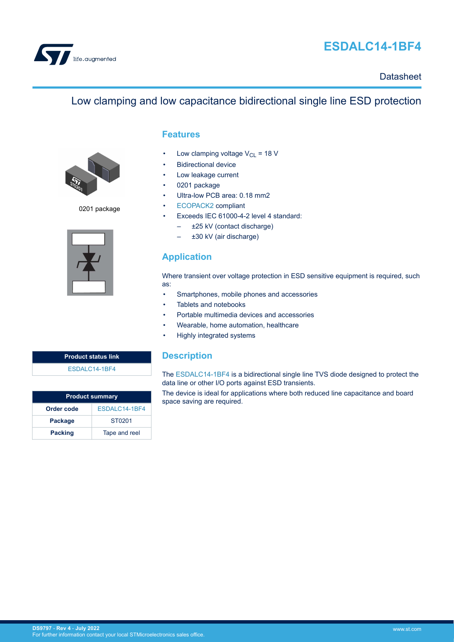

# **ESDALC14-1BF4**

## **Datasheet**

# Low clamping and low capacitance bidirectional single line ESD protection



0201 package



## **Features**

- Low clamping voltage  $V_{CL}$  = 18 V
- **Bidirectional device**
- Low leakage current
- 0201 package
- Ultra-low PCB area: 0.18 mm2
- [ECOPACK2](https://www.st.com/ecopack) compliant
- Exceeds IEC 61000-4-2 level 4 standard:
	- ±25 kV (contact discharge)
	- ±30 kV (air discharge)

# **Application**

Where transient over voltage protection in ESD sensitive equipment is required, such as:

- Smartphones, mobile phones and accessories
- Tablets and notebooks
- Portable multimedia devices and accessories
- Wearable, home automation, healthcare
- Highly integrated systems

## **Description**

The [ESDALC14-1BF4](https://www.st.com/en/product/esdalc14-1bf4?ecmp=tt9470_gl_link_feb2019&rt=ds&id=DS9797) is a bidirectional single line TVS diode designed to protect the data line or other I/O ports against ESD transients.

The device is ideal for applications where both reduced line capacitance and board space saving are required.

| <b>Product status link</b> |
|----------------------------|
| ESDALC14-1BF4              |
|                            |

| <b>Product summary</b> |               |  |  |
|------------------------|---------------|--|--|
| Order code             | ESDALC14-1BF4 |  |  |
| Package                | ST0201        |  |  |
| <b>Packing</b>         | Tape and reel |  |  |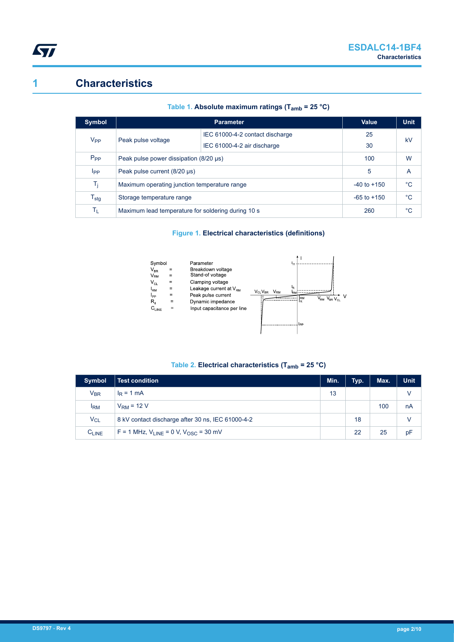

# **1 Characteristics**

| Symbol                         |                                                    | Value                           | <b>Unit</b> |    |
|--------------------------------|----------------------------------------------------|---------------------------------|-------------|----|
| $V_{PP}$<br>Peak pulse voltage |                                                    | IEC 61000-4-2 contact discharge | 25          | kV |
|                                |                                                    | IEC 61000-4-2 air discharge     | 30          |    |
| $P_{PP}$                       | Peak pulse power dissipation (8/20 µs)             |                                 | 100         | W  |
| <b>I</b> pp                    | Peak pulse current (8/20 µs)                       |                                 | 5           | A  |
| Τ <sub>i</sub>                 | Maximum operating junction temperature range       | $-40$ to $+150$                 | $^{\circ}C$ |    |
| ${\mathsf T}_{\textsf{stg}}$   | Storage temperature range                          | $-65$ to $+150$                 | $^{\circ}C$ |    |
| Tī.                            | Maximum lead temperature for soldering during 10 s | 260                             | $^{\circ}C$ |    |

### **Table 1. Absolute maximum ratings (Tamb = 25 °C)**

### **Figure 1. Electrical characteristics (definitions)**



### **Table 2. Electrical characteristics (Tamb = 25 °C)**

| <b>Symbol</b>              | <b>Test condition</b>                             | Min. | Typ. | Max. | <b>Unit</b> |
|----------------------------|---------------------------------------------------|------|------|------|-------------|
| $\mathsf{V}_{\mathsf{BR}}$ | $I_R = 1$ mA                                      | 13   |      |      | V           |
| <b>IRM</b>                 | $VRM = 12 V$                                      |      |      | 100  | nA          |
| $V_{\rm CL}$               | 8 kV contact discharge after 30 ns, IEC 61000-4-2 |      | 18   |      | V           |
| $C_{LINE}$                 | $F = 1$ MHz, $V_{LINE} = 0$ V, $V_{OSC} = 30$ mV  |      | 22   | 25   | pF          |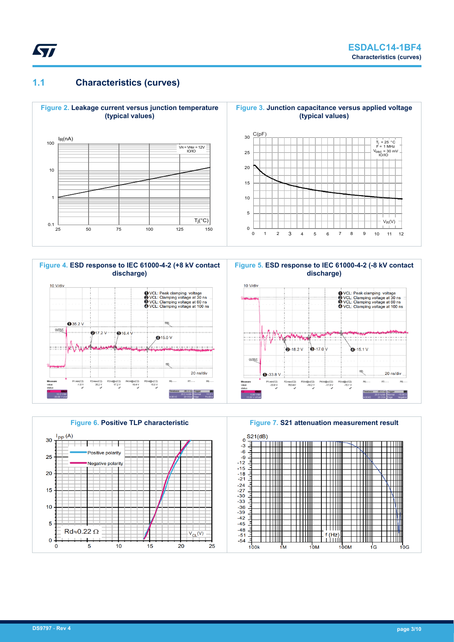

## **1.1 Characteristics (curves)**





**Figure 5. ESD response to IEC 61000-4-2 (-8 kV contact discharge)**





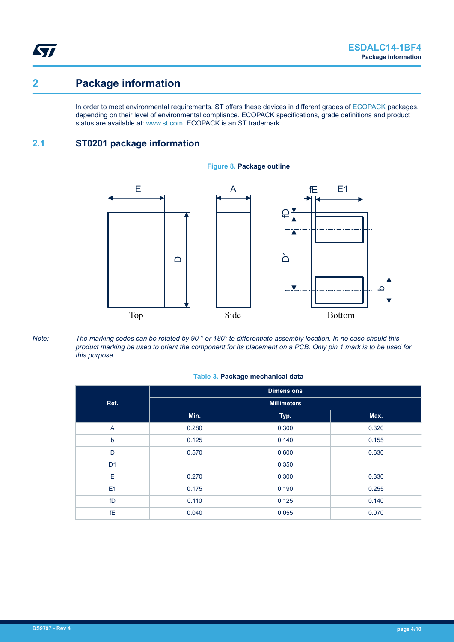ST

# **2 Package information**

In order to meet environmental requirements, ST offers these devices in different grades of [ECOPACK](https://www.st.com/ecopack) packages, depending on their level of environmental compliance. ECOPACK specifications, grade definitions and product status are available at: [www.st.com.](http://www.st.com) ECOPACK is an ST trademark.

## **2.1 ST0201 package information**



#### **Figure 8. Package outline**

*Note: The marking codes can be rotated by 90 ° or 180° to differentiate assembly location. In no case should this product marking be used to orient the component for its placement on a PCB. Only pin 1 mark is to be used for this purpose.*

#### **Table 3. Package mechanical data**

|                | <b>Dimensions</b>  |       |       |  |  |
|----------------|--------------------|-------|-------|--|--|
| Ref.           | <b>Millimeters</b> |       |       |  |  |
|                | Min.               | Typ.  | Max.  |  |  |
| A              | 0.280              | 0.300 | 0.320 |  |  |
| b              | 0.125              | 0.140 | 0.155 |  |  |
| D              | 0.570              | 0.600 | 0.630 |  |  |
| D <sub>1</sub> |                    | 0.350 |       |  |  |
| E              | 0.270              | 0.300 | 0.330 |  |  |
| E <sub>1</sub> | 0.175              | 0.190 | 0.255 |  |  |
| fD             | 0.110              | 0.125 | 0.140 |  |  |
| <b>fE</b>      | 0.040              | 0.055 | 0.070 |  |  |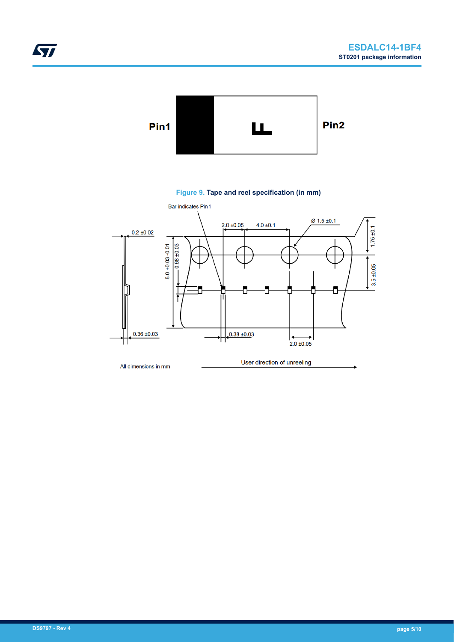

### **Figure 9. Tape and reel specification (in mm)**

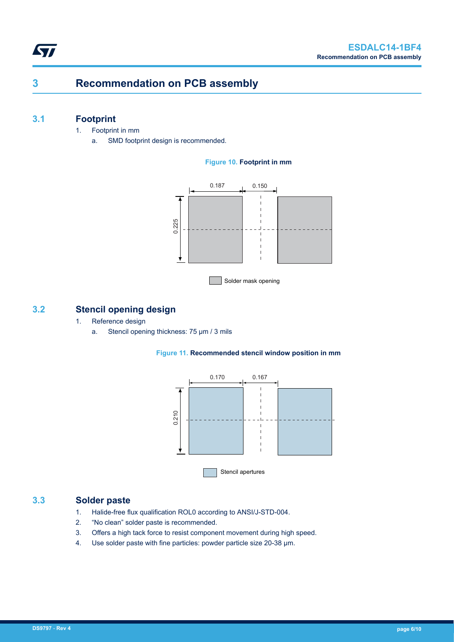# **3 Recommendation on PCB assembly**

## **3.1 Footprint**

**ST** 

- 1. Footprint in mm
	- a. SMD footprint design is recommended.

### **Figure 10. Footprint in mm**



### **3.2 Stencil opening design**

- 1. Reference design
	- a. Stencil opening thickness: 75 μm / 3 mils





### **3.3 Solder paste**

- 1. Halide-free flux qualification ROL0 according to ANSI/J-STD-004.
- 2. "No clean" solder paste is recommended.
- 3. Offers a high tack force to resist component movement during high speed.
- 4. Use solder paste with fine particles: powder particle size 20-38 µm.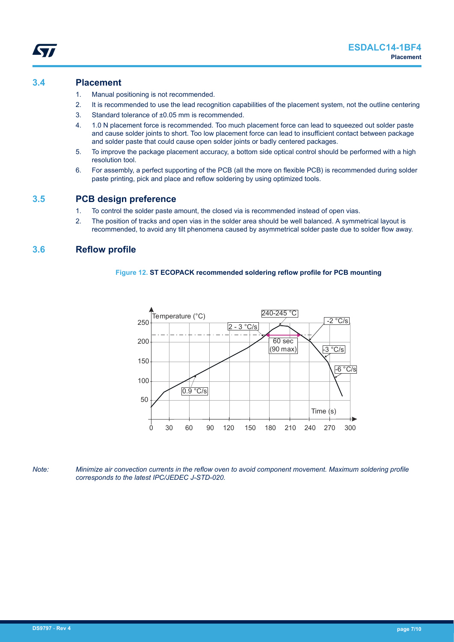### **3.4 Placement**

- 1. Manual positioning is not recommended.
- 2. It is recommended to use the lead recognition capabilities of the placement system, not the outline centering
- 3. Standard tolerance of ±0.05 mm is recommended.
- 4. 1.0 N placement force is recommended. Too much placement force can lead to squeezed out solder paste and cause solder joints to short. Too low placement force can lead to insufficient contact between package and solder paste that could cause open solder joints or badly centered packages.
- 5. To improve the package placement accuracy, a bottom side optical control should be performed with a high resolution tool.
- 6. For assembly, a perfect supporting of the PCB (all the more on flexible PCB) is recommended during solder paste printing, pick and place and reflow soldering by using optimized tools.

### **3.5 PCB design preference**

- 1. To control the solder paste amount, the closed via is recommended instead of open vias.
- 2. The position of tracks and open vias in the solder area should be well balanced. A symmetrical layout is recommended, to avoid any tilt phenomena caused by asymmetrical solder paste due to solder flow away.

### **3.6 Reflow profile**

#### **Figure 12. ST ECOPACK recommended soldering reflow profile for PCB mounting**



*Note: Minimize air convection currents in the reflow oven to avoid component movement. Maximum soldering profile corresponds to the latest IPC/JEDEC J-STD-020.*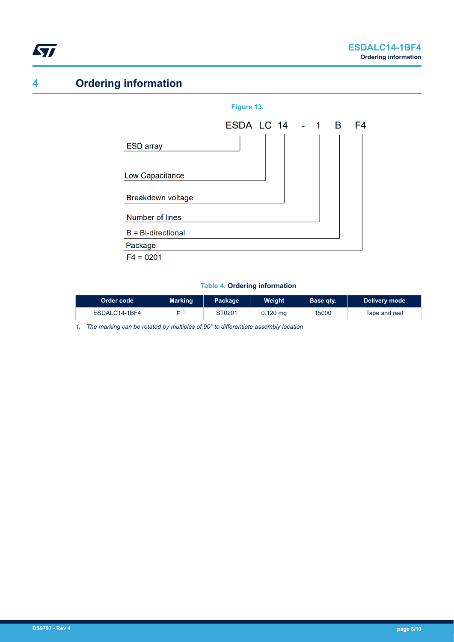<span id="page-7-0"></span>

# **4 Ordering information**





#### **Table 4. Ordering information**

| Order code    | <b>Marking</b> | Package | Weight     | Base qtv. | Delivery mode |
|---------------|----------------|---------|------------|-----------|---------------|
| ESDALC14-1BF4 | $\Gamma(1)$    | ST0201  | $0.120$ mg | 15000     | Tape and reel |

*1. The marking can be rotated by multiples of 90° to differentiate assembly location*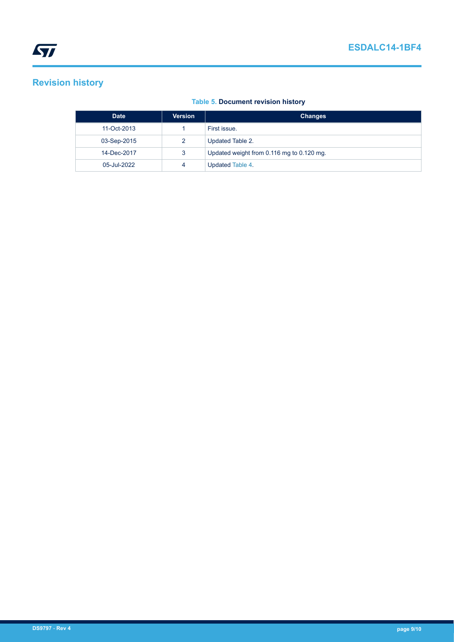# **Revision history**

### **Table 5. Document revision history**

| <b>Date</b> | <b>Version</b> | <b>Changes</b>                            |
|-------------|----------------|-------------------------------------------|
| 11-Oct-2013 |                | First issue.                              |
| 03-Sep-2015 | 2              | Updated Table 2.                          |
| 14-Dec-2017 | 3              | Updated weight from 0.116 mg to 0.120 mg. |
| 05-Jul-2022 | 4              | Updated Table 4.                          |